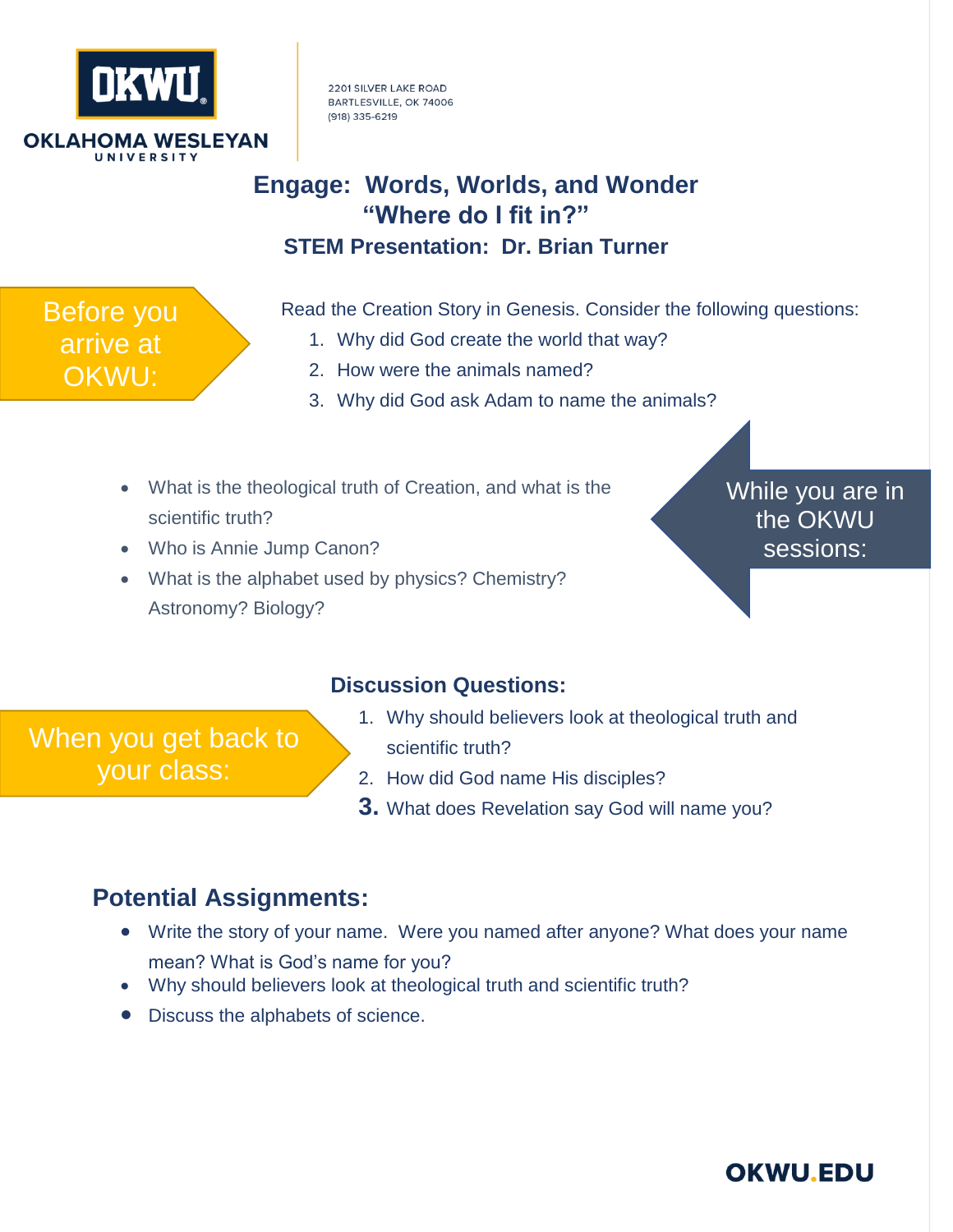

Before you arrive at

OKWU:

2201 SILVER LAKE ROAD BARTLESVILLE, OK 74006 (918) 335-6219

# **Engage: Words, Worlds, and Wonder "Where do I fit in?" STEM Presentation: Dr. Brian Turner**

Read the Creation Story in Genesis. Consider the following questions:

- 1. Why did God create the world that way?
- 2. How were the animals named?
- 3. Why did God ask Adam to name the animals?
- What is the theological truth of Creation, and what is the scientific truth?
- Who is Annie Jump Canon?
- What is the alphabet used by physics? Chemistry? Astronomy? Biology?

While you are in the OKWU sessions:

#### **Discussion Questions:**

When you get back to your class:

- 1. Why should believers look at theological truth and scientific truth?
- 2. How did God name His disciples?
- **3.** What does Revelation say God will name you?

### **Potential Assignments:**

- Write the story of your name. Were you named after anyone? What does your name mean? What is God's name for you?
- Why should believers look at theological truth and scientific truth?
- Discuss the alphabets of science.

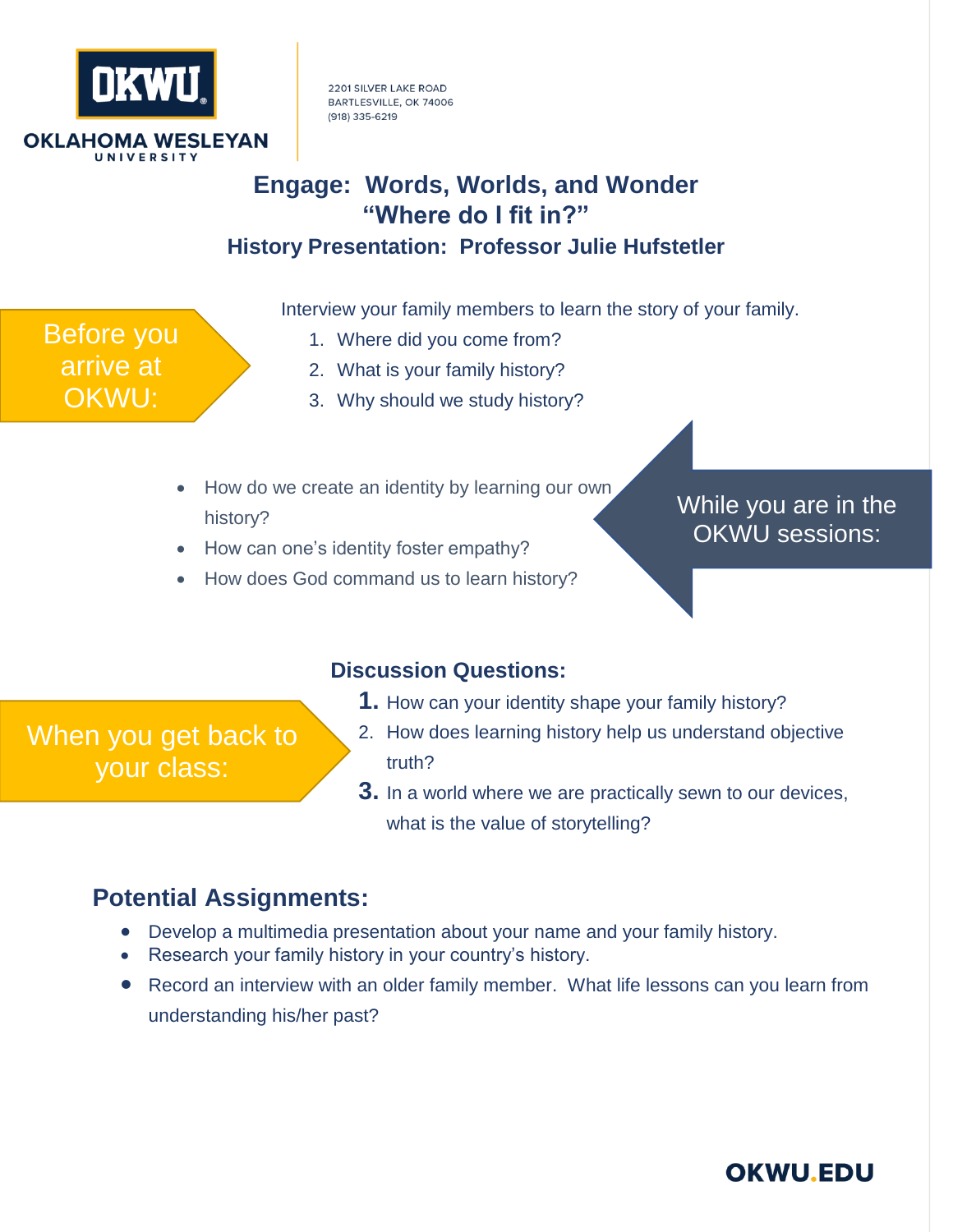

Before you

arrive at

OKWU:

2201 SILVER LAKE ROAD BARTLESVILLE, OK 74006 (918) 335-6219

## **Engage: Words, Worlds, and Wonder "Where do I fit in?" History Presentation: Professor Julie Hufstetler**

Interview your family members to learn the story of your family.

- 1. Where did you come from?
	- 2. What is your family history?
	- 3. Why should we study history?
- How do we create an identity by learning our own history?
- How can one's identity foster empathy?
- How does God command us to learn history?

While you are in the OKWU sessions:

#### **Discussion Questions:**

**1.** How can your identity shape your family history?

When you get back to your class:

- 2. How does learning history help us understand objective truth?
- **3.** In a world where we are practically sewn to our devices, what is the value of storytelling?

### **Potential Assignments:**

- Develop a multimedia presentation about your name and your family history.
- Research your family history in your country's history.
- Record an interview with an older family member. What life lessons can you learn from understanding his/her past?

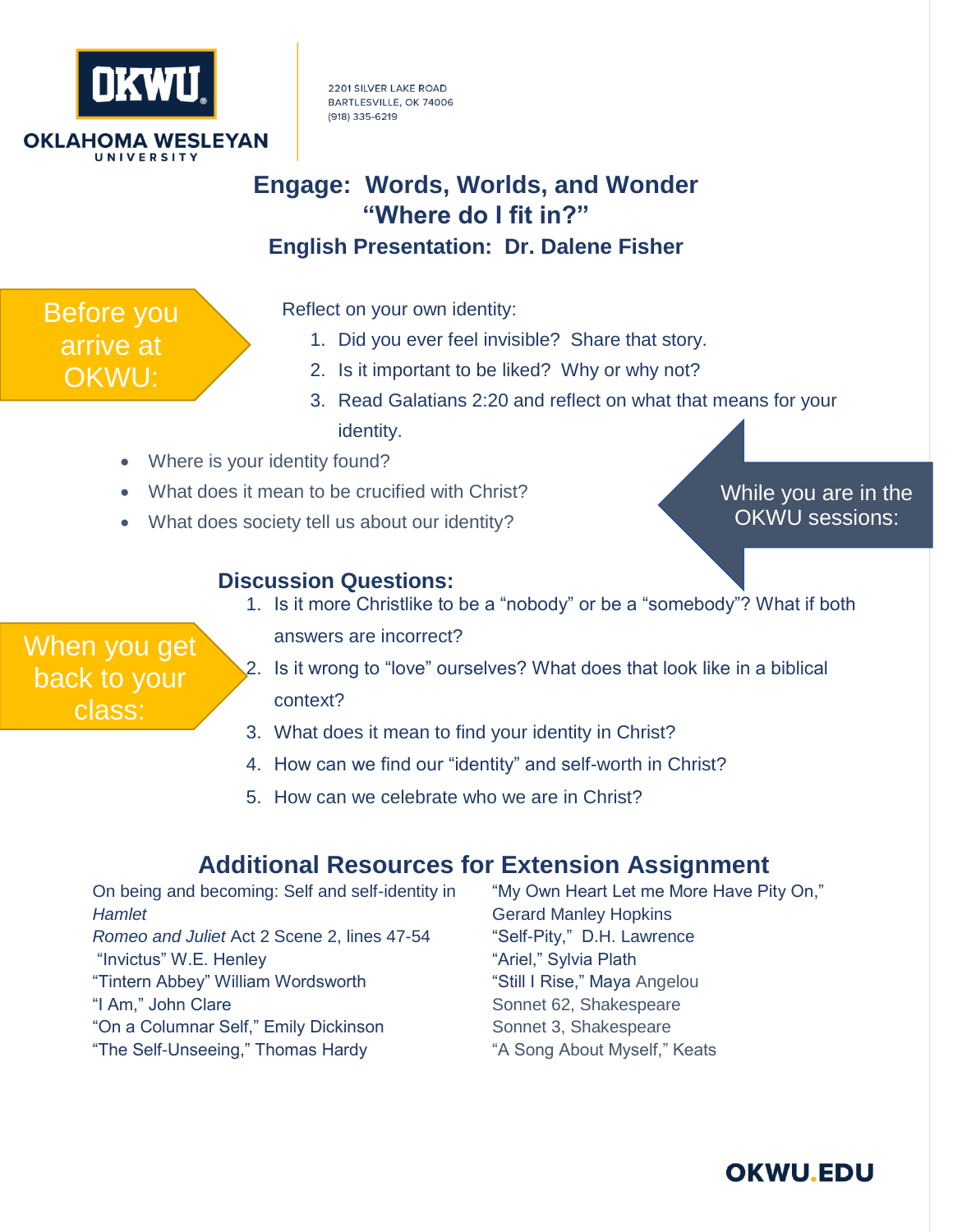

Before you arrive at

OKWU:

2201 SILVER LAKE ROAD BARTLESVILLE, OK 74006 (918) 335-6219

# **Engage: Words, Worlds, and Wonder "Where do I fit in?" English Presentation: Dr. Dalene Fisher**

Reflect on your own identity:

- 1. Did you ever feel invisible? Share that story.
- 2. Is it important to be liked? Why or why not?
- 3. Read Galatians 2:20 and reflect on what that means for your identity.
- Where is your identity found?
- What does it mean to be crucified with Christ?
- What does society tell us about our identity?

While you are in the OKWU sessions:

#### **Discussion Questions:**

- When you get back to your class:
- 1. Is it more Christlike to be a "nobody" or be a "somebody"? What if both
	- answers are incorrect?
- 2. Is it wrong to "love" ourselves? What does that look like in a biblical context?
- 3. What does it mean to find your identity in Christ?
- 4. How can we find our "identity" and self-worth in Christ?
- 5. How can we celebrate who we are in Christ?

### **Additional Resources for Extension Assignment**

On being and becoming: Self and self-identity in *Hamlet Romeo and Juliet* Act 2 Scene 2, lines 47-54 "Invictus" W.E. Henley "Tintern Abbey" William Wordsworth "I Am," John Clare "On a Columnar Self," Emily Dickinson "The Self-Unseeing," Thomas Hardy

"My Own Heart Let me More Have Pity On," Gerard Manley Hopkins "Self-Pity," D.H. Lawrence "Ariel," Sylvia Plath "Still I Rise," Maya Angelou Sonnet 62, Shakespeare Sonnet 3, Shakespeare "A Song About Myself," Keats